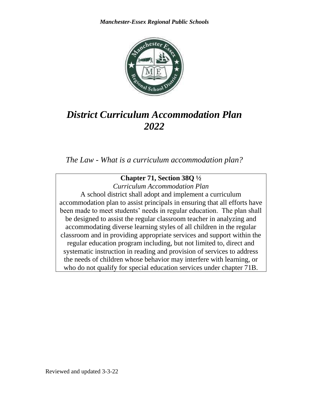

# *District Curriculum Accommodation Plan 2022*

*The Law - What is a curriculum accommodation plan?*

### **Chapter 71, Section 38Q ½**

*Curriculum Accommodation Plan* A school district shall adopt and implement a curriculum accommodation plan to assist principals in ensuring that all efforts have been made to meet students' needs in regular education. The plan shall be designed to assist the regular classroom teacher in analyzing and accommodating diverse learning styles of all children in the regular classroom and in providing appropriate services and support within the regular education program including, but not limited to, direct and systematic instruction in reading and provision of services to address the needs of children whose behavior may interfere with learning, or who do not qualify for special education services under chapter 71B.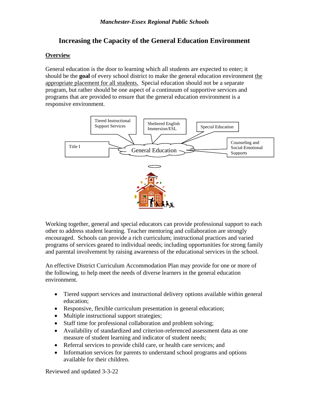#### **Increasing the Capacity of the General Education Environment**

#### **Overview**

General education is the door to learning which all students are expected to enter; it should be the **goal** of every school district to make the general education environment the appropriate placement for all students. Special education should not be a separate program, but rather should be one aspect of a continuum of supportive services and programs that are provided to ensure that the general education environment is a responsive environment.



Working together, general and special educators can provide professional support to each other to address student learning. Teacher mentoring and collaboration are strongly encouraged. Schools can provide a rich curriculum; instructional practices and varied programs of services geared to individual needs; including opportunities for strong family and parental involvement by raising awareness of the educational services in the school.

An effective District Curriculum Accommodation Plan may provide for one or more of the following, to help meet the needs of diverse learners in the general education environment.

- Tiered support services and instructional delivery options available within general education;
- Responsive, flexible curriculum presentation in general education;
- Multiple instructional support strategies;
- Staff time for professional collaboration and problem solving;
- Availability of standardized and criterion-referenced assessment data as one measure of student learning and indicator of student needs;
- Referral services to provide child care, or health care services; and
- Information services for parents to understand school programs and options available for their children.

Reviewed and updated 3-3-22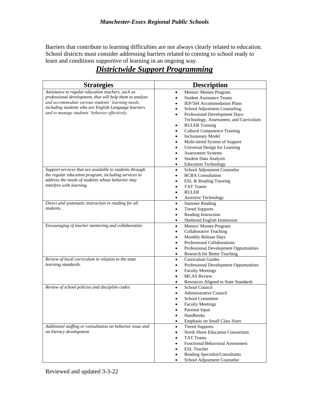Barriers that contribute to learning difficulties are not always clearly related to education. School districts must consider addressing barriers related to coming to school ready to learn and conditions supportive of learning in an ongoing way.

## *Districtwide Support Programming*

| <b>Strategies</b>                                                                                                                                                                                                                                                           | <b>Description</b>                                                                                                                                                                                                                                                                                                                                                                                                                                                      |
|-----------------------------------------------------------------------------------------------------------------------------------------------------------------------------------------------------------------------------------------------------------------------------|-------------------------------------------------------------------------------------------------------------------------------------------------------------------------------------------------------------------------------------------------------------------------------------------------------------------------------------------------------------------------------------------------------------------------------------------------------------------------|
| Assistance to regular education teachers, such as<br>professional development, that will help them to analyze<br>and accommodate various students' learning needs,<br>including students who are English Language learners<br>and to manage students' behavior effectively. | Mentor/Mentee Program<br>$\bullet$<br><b>Student Assistance Teams</b><br>IEP/504 Accommodation Plans<br>School Adjustment Counseling<br>Professional Development Days-<br>$\bullet$<br>Technology, Assessment, and Curriculum<br><b>RULER Training</b><br>$\bullet$<br><b>Cultural Competence Training</b><br><b>Inclusionary Model</b><br>Multi-tiered System of Support<br>Universal Design for Learning<br><b>Assessment Systems</b><br><b>Student Data Analysis</b> |
| Support services that are available to students through<br>the regular education program, including services to<br>address the needs of students whose behavior may<br>interfere with learning.                                                                             | <b>Education Technology</b><br>School Adjustment Counselor<br>$\bullet$<br><b>BCBA</b> Consultation<br>ESL & Reading Tutoring<br><b>TAT Teams</b><br><b>RULER</b><br><b>Assistive Technology</b>                                                                                                                                                                                                                                                                        |
| Direct and systematic instruction in reading for all<br>students.                                                                                                                                                                                                           | <b>Summer Reading</b><br>$\bullet$<br><b>Tiered Supports</b><br>Reading Instruction<br>$\bullet$<br>Sheltered English Immersion<br>$\bullet$                                                                                                                                                                                                                                                                                                                            |
| Encouraging of teacher mentoring and collaboration                                                                                                                                                                                                                          | Mentor/Mentee Program<br>$\bullet$<br><b>Collaborative Teaching</b><br>$\bullet$<br>Monthly Release Days<br>Professional Collaborations<br>Professional Development Opportunities<br>$\bullet$<br>Research for Better Teaching<br>$\bullet$                                                                                                                                                                                                                             |
| Review of local curriculum in relation to the state<br>learning standards.                                                                                                                                                                                                  | Curriculum Guides<br>$\bullet$<br>Professional Development Opportunities<br><b>Faculty Meetings</b><br><b>MCAS</b> Review<br>Resources Aligned to State Standards                                                                                                                                                                                                                                                                                                       |
| Review of school policies and discipline codes                                                                                                                                                                                                                              | School Council<br>$\bullet$<br><b>Administrative Council</b><br><b>School Committee</b><br><b>Faculty Meetings</b><br>Parental Input<br>$\bullet$<br>Handbooks<br>Emphasis on Small Class Sizes<br>$\bullet$                                                                                                                                                                                                                                                            |
| Additional staffing or consultation on behavior issue and<br>on literacy development                                                                                                                                                                                        | <b>Tiered Supports</b><br>$\bullet$<br>North Shore Education Consortium<br><b>TAT Teams</b><br><b>Functional Behavioral Assessment</b><br><b>ESL</b> Teacher<br>Reading Specialist/Consultants<br>School Adjustment Counselor<br>$\bullet$                                                                                                                                                                                                                              |